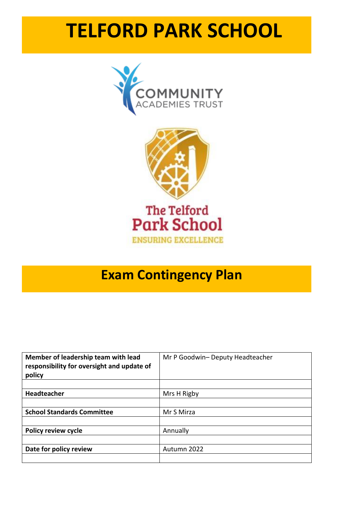# **TELFORD PARK SCHOOL**





# **Exam Contingency Plan**

| Member of leadership team with lead<br>responsibility for oversight and update of<br>policy | Mr P Goodwin- Deputy Headteacher |
|---------------------------------------------------------------------------------------------|----------------------------------|
|                                                                                             |                                  |
| Headteacher                                                                                 | Mrs H Rigby                      |
|                                                                                             |                                  |
| <b>School Standards Committee</b>                                                           | Mr S Mirza                       |
|                                                                                             |                                  |
| <b>Policy review cycle</b>                                                                  | Annually                         |
|                                                                                             |                                  |
| Date for policy review                                                                      | Autumn 2022                      |
|                                                                                             |                                  |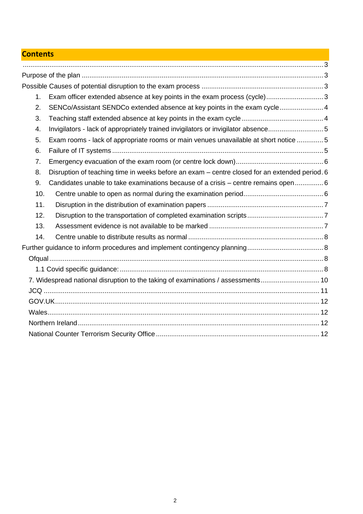# **Contents**

| 1.  | Exam officer extended absence at key points in the exam process (cycle)3                      |  |
|-----|-----------------------------------------------------------------------------------------------|--|
| 2.  | SENCo/Assistant SENDCo extended absence at key points in the exam cycle 4                     |  |
| 3.  |                                                                                               |  |
| 4.  | Invigilators - lack of appropriately trained invigilators or invigilator absence5             |  |
| 5.  | Exam rooms - lack of appropriate rooms or main venues unavailable at short notice 5           |  |
| 6.  |                                                                                               |  |
| 7.  |                                                                                               |  |
| 8.  | Disruption of teaching time in weeks before an exam - centre closed for an extended period. 6 |  |
| 9.  | Candidates unable to take examinations because of a crisis – centre remains open 6            |  |
| 10. |                                                                                               |  |
| 11. |                                                                                               |  |
| 12. |                                                                                               |  |
| 13. |                                                                                               |  |
| 14. |                                                                                               |  |
|     |                                                                                               |  |
|     |                                                                                               |  |
|     |                                                                                               |  |
|     | 7. Widespread national disruption to the taking of examinations / assessments10               |  |
|     |                                                                                               |  |
|     |                                                                                               |  |
|     |                                                                                               |  |
|     |                                                                                               |  |
|     |                                                                                               |  |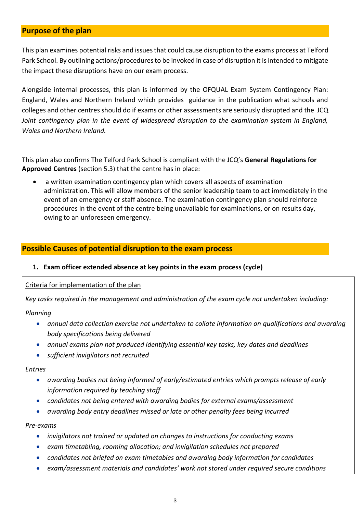# **Purpose of the plan**

This plan examines potential risks and issues that could cause disruption to the exams process at Telford Park School. By outlining actions/procedures to be invoked in case of disruption it is intended to mitigate the impact these disruptions have on our exam process.

Alongside internal processes, this plan is informed by the OFQUAL Exam System Contingency Plan: England, Wales and Northern Ireland which provides guidance in the publication what schools and colleges and other centres should do if exams or other assessments are seriously disrupted and the JCQ *Joint contingency plan in the event of widespread disruption to the examination system in England, Wales and Northern Ireland.* 

This plan also confirms The Telford Park School is compliant with the JCQ's **General Regulations for Approved Centres** (section 5.3) that the centre has in place:

• a written examination contingency plan which covers all aspects of examination administration. This will allow members of the senior leadership team to act immediately in the event of an emergency or staff absence. The examination contingency plan should reinforce procedures in the event of the centre being unavailable for examinations, or on results day, owing to an unforeseen emergency.

# **Possible Causes of potential disruption to the exam process**

# **1. Exam officer extended absence at key points in the exam process (cycle)**

#### Criteria for implementation of the plan

*Key tasks required in the management and administration of the exam cycle not undertaken including:*

#### *Planning*

- *annual data collection exercise not undertaken to collate information on qualifications and awarding body specifications being delivered*
- *annual exams plan not produced identifying essential key tasks, key dates and deadlines*
- *sufficient invigilators not recruited*

#### *Entries*

- *awarding bodies not being informed of early/estimated entries which prompts release of early information required by teaching staff*
- *candidates not being entered with awarding bodies for external exams/assessment*
- *awarding body entry deadlines missed or late or other penalty fees being incurred*

*Pre-exams*

- *invigilators not trained or updated on changes to instructions for conducting exams*
- *exam timetabling, rooming allocation; and invigilation schedules not prepared*
- *candidates not briefed on exam timetables and awarding body information for candidates*
- *exam/assessment materials and candidates' work not stored under required secure conditions*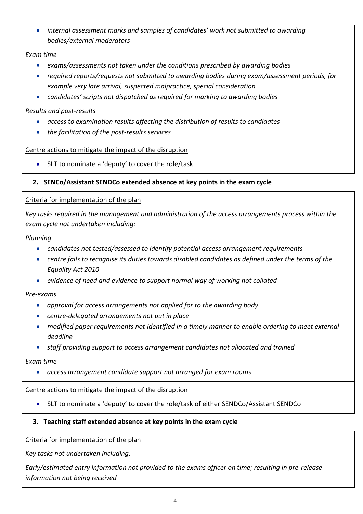• *internal assessment marks and samples of candidates' work not submitted to awarding bodies/external moderators*

#### *Exam time*

- *exams/assessments not taken under the conditions prescribed by awarding bodies*
- *required reports/requests not submitted to awarding bodies during exam/assessment periods, for example very late arrival, suspected malpractice, special consideration*
- *candidates' scripts not dispatched as required for marking to awarding bodies*

#### *Results and post-results*

- *access to examination results affecting the distribution of results to candidates*
- *the facilitation of the post-results services*

# Centre actions to mitigate the impact of the disruption

• SLT to nominate a 'deputy' to cover the role/task

#### **2. SENCo/Assistant SENDCo extended absence at key points in the exam cycle**

#### Criteria for implementation of the plan

*Key tasks required in the management and administration of the access arrangements process within the exam cycle not undertaken including:*

#### *Planning*

- *candidates not tested/assessed to identify potential access arrangement requirements*
- *centre fails to recognise its duties towards disabled candidates as defined under the terms of the Equality Act 2010*
- *evidence of need and evidence to support normal way of working not collated*

#### *Pre-exams*

- *approval for access arrangements not applied for to the awarding body*
- *centre-delegated arrangements not put in place*
- *modified paper requirements not identified in a timely manner to enable ordering to meet external deadline*
- *staff providing support to access arrangement candidates not allocated and trained*

#### *Exam time*

• *access arrangement candidate support not arranged for exam rooms*

#### Centre actions to mitigate the impact of the disruption

• SLT to nominate a 'deputy' to cover the role/task of either SENDCo/Assistant SENDCo

# **3. Teaching staff extended absence at key points in the exam cycle**

#### Criteria for implementation of the plan

*Key tasks not undertaken including:*

*Early/estimated entry information not provided to the exams officer on time; resulting in pre-release information not being received*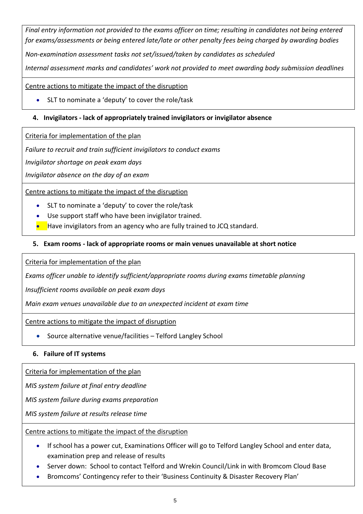*Final entry information not provided to the exams officer on time; resulting in candidates not being entered for exams/assessments or being entered late/late or other penalty fees being charged by awarding bodies*

*Non-examination assessment tasks not set/issued/taken by candidates as scheduled*

*Internal assessment marks and candidates' work not provided to meet awarding body submission deadlines*

Centre actions to mitigate the impact of the disruption

• SLT to nominate a 'deputy' to cover the role/task

# **4. Invigilators - lack of appropriately trained invigilators or invigilator absence**

Criteria for implementation of the plan

*Failure to recruit and train sufficient invigilators to conduct exams*

*Invigilator shortage on peak exam days*

*Invigilator absence on the day of an exam*

Centre actions to mitigate the impact of the disruption

- SLT to nominate a 'deputy' to cover the role/task
- Use support staff who have been invigilator trained.
- Have invigilators from an agency who are fully trained to JCQ standard.

#### **5. Exam rooms - lack of appropriate rooms or main venues unavailable at short notice**

Criteria for implementation of the plan

*Exams officer unable to identify sufficient/appropriate rooms during exams timetable planning*

*Insufficient rooms available on peak exam days*

*Main exam venues unavailable due to an unexpected incident at exam time*

Centre actions to mitigate the impact of disruption

• Source alternative venue/facilities – Telford Langley School

#### **6. Failure of IT systems**

Criteria for implementation of the plan

*MIS system failure at final entry deadline*

*MIS system failure during exams preparation*

*MIS system failure at results release time*

Centre actions to mitigate the impact of the disruption

- If school has a power cut, Examinations Officer will go to Telford Langley School and enter data, examination prep and release of results
- Server down: School to contact Telford and Wrekin Council/Link in with Bromcom Cloud Base
- Bromcoms' Contingency refer to their 'Business Continuity & Disaster Recovery Plan'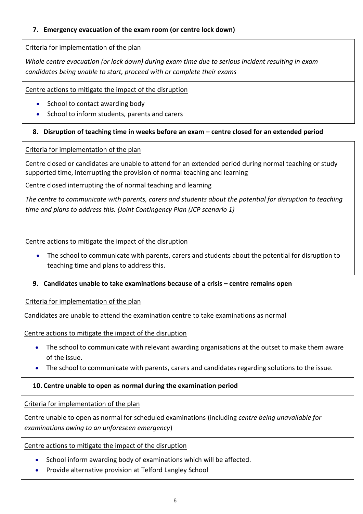# **7. Emergency evacuation of the exam room (or centre lock down)**

# Criteria for implementation of the plan

*Whole centre evacuation (or lock down) during exam time due to serious incident resulting in exam candidates being unable to start, proceed with or complete their exams*

Centre actions to mitigate the impact of the disruption

- School to contact awarding body
- School to inform students, parents and carers

# **8. Disruption of teaching time in weeks before an exam – centre closed for an extended period**

# Criteria for implementation of the plan

Centre closed or candidates are unable to attend for an extended period during normal teaching or study supported time, interrupting the provision of normal teaching and learning

Centre closed interrupting the of normal teaching and learning

*The centre to communicate with parents, carers and students about the potential for disruption to teaching time and plans to address this. (Joint Contingency Plan (JCP scenario 1)*

Centre actions to mitigate the impact of the disruption

- The school to communicate with parents, carers and students about the potential for disruption to teaching time and plans to address this.
- **9.** Candidates unable to take examinations because of a crisis centre remains open

Criteria for implementation of the plan

Candidates are unable to attend the examination centre to take examinations as normal

Centre actions to mitigate the impact of the disruption

- The school to communicate with relevant awarding organisations at the outset to make them aware of the issue.
- The school to communicate with parents, carers and candidates regarding solutions to the issue.

# **10. Centre unable to open as normal during the examination period**

Criteria for implementation of the plan

Centre unable to open as normal for scheduled examinations (including *centre being unavailable for examinations owing to an unforeseen emergency*)

Centre actions to mitigate the impact of the disruption

- School inform awarding body of examinations which will be affected.
- Provide alternative provision at Telford Langley School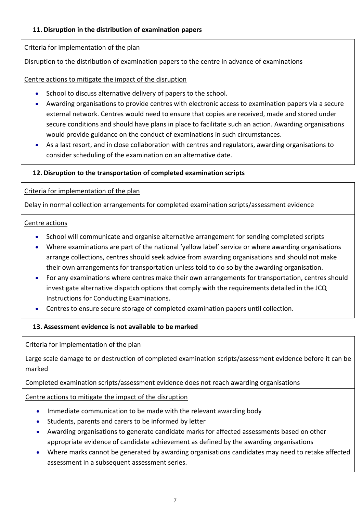# **11. Disruption in the distribution of examination papers**

# Criteria for implementation of the plan

Disruption to the distribution of examination papers to the centre in advance of examinations

#### Centre actions to mitigate the impact of the disruption

- School to discuss alternative delivery of papers to the school.
- Awarding organisations to provide centres with electronic access to examination papers via a secure external network. Centres would need to ensure that copies are received, made and stored under secure conditions and should have plans in place to facilitate such an action. Awarding organisations would provide guidance on the conduct of examinations in such circumstances.
- As a last resort, and in close collaboration with centres and regulators, awarding organisations to consider scheduling of the examination on an alternative date.

# **12. Disruption to the transportation of completed examination scripts**

#### Criteria for implementation of the plan

Delay in normal collection arrangements for completed examination scripts/assessment evidence

#### Centre actions

- School will communicate and organise alternative arrangement for sending completed scripts
- Where examinations are part of the national 'yellow label' service or where awarding organisations arrange collections, centres should seek advice from awarding organisations and should not make their own arrangements for transportation unless told to do so by the awarding organisation.
- For any examinations where centres make their own arrangements for transportation, centres should investigate alternative dispatch options that comply with the requirements detailed in the JCQ Instructions for Conducting Examinations.
- Centres to ensure secure storage of completed examination papers until collection.

# **13. Assessment evidence is not available to be marked**

Criteria for implementation of the plan

Large scale damage to or destruction of completed examination scripts/assessment evidence before it can be marked

Completed examination scripts/assessment evidence does not reach awarding organisations

Centre actions to mitigate the impact of the disruption

- Immediate communication to be made with the relevant awarding body
- Students, parents and carers to be informed by letter
- Awarding organisations to generate candidate marks for affected assessments based on other appropriate evidence of candidate achievement as defined by the awarding organisations
- Where marks cannot be generated by awarding organisations candidates may need to retake affected assessment in a subsequent assessment series.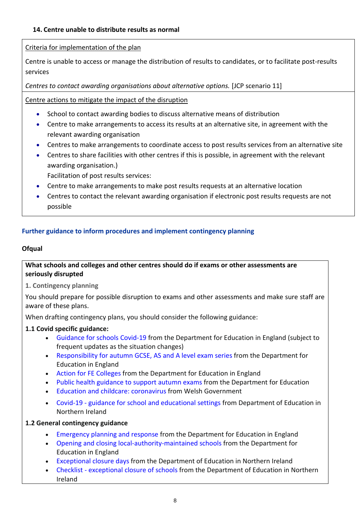# Criteria for implementation of the plan

Centre is unable to access or manage the distribution of results to candidates, or to facilitate post-results services

*Centres to contact awarding organisations about alternative options.* [JCP scenario 11]

Centre actions to mitigate the impact of the disruption

- School to contact awarding bodies to discuss alternative means of distribution
- Centre to make arrangements to access its results at an alternative site, in agreement with the relevant awarding organisation
- Centres to make arrangements to coordinate access to post results services from an alternative site
- Centres to share facilities with other centres if this is possible, in agreement with the relevant awarding organisation.)

Facilitation of post results services:

- Centre to make arrangements to make post results requests at an alternative location
- Centres to contact the relevant awarding organisation if electronic post results requests are not possible

# **Further guidance to inform procedures and implement contingency planning**

#### **Ofqual**

# **What schools and colleges and other centres should do if exams or other assessments are seriously disrupted**

**1. Contingency planning**

You should prepare for possible disruption to exams and other assessments and make sure staff are aware of these plans.

When drafting contingency plans, you should consider the following guidance:

# **1.1 Covid specific guidance:**

- [Guidance](https://www.gov.uk/government/collections/guidance-for-schools-coronavirus-covid-19#safe-working-and-protective-measures) for schools Covid-19 from the Department for Education in England (subject to frequent updates as the situation changes)
- [Responsibility](https://www.gov.uk/government/publications/responsibility-for-autumn-gcse-as-and-a-level-exam-series) for autumn GCSE, AS and A level exam series from the Department for Education in England
- Action for FE [Colleges](https://www.gov.uk/government/publications/coronavirus-covid-19-maintaining-further-education-provision) from the Department for Education in England
- Public health [guidance](https://www.gov.uk/government/publications/responsibility-for-autumn-gcse-as-and-a-level-exam-series/public-health-arrangements-for-autumn-exams) to support autumn exams from the Department for Education
- Education and childcare: [coronavirus](https://gov.wales/education-coronavirus) from Welsh Government
- Covid-19 guidance for school and [educational](https://www.education-ni.gov.uk/publications/coronavirus-covid-19-guidance-school-and-educational-settings-northern-ireland) settings from Department of Education in Northern Ireland

# **1.2 General contingency guidance**

- [Emergency](https://www.gov.uk/guidance/emergencies-and-severe-weather-schools-and-early-years-settings) planning and response from the Department for Education in England
- Opening and closing [local-authority-maintained](https://www.gov.uk/government/publications/school-organisation-maintained-schools) schools from the Department for Education in England
- [Exceptional](https://www.education-ni.gov.uk/articles/exceptional-closure-days) closure days from the Department of Education in Northern Ireland
- Checklist [exceptional](https://www.education-ni.gov.uk/publications/checklist-exceptional-closure-schools) closure of schools from the Department of Education in Northern Ireland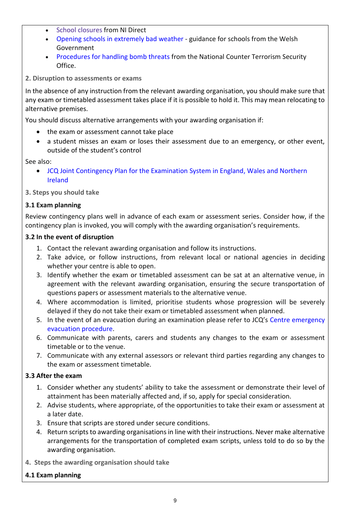- School [closures](https://gov.wales/opening-schools-extremely-bad-weather-guidance-schools) from NI Direct
- Opening schools in [extremely](https://gov.wales/opening-schools-extremely-bad-weather-guidance-schools) bad weather guidance for schools from the Welsh Government
- [Procedures](https://www.gov.uk/government/publications/bomb-threats-guidance) for handling bomb threats from the National Counter Terrorism Security Office.

**2. Disruption to assessments or exams**

In the absence of any instruction from the relevant awarding organisation, you should make sure that any exam or timetabled assessment takes place if it is possible to hold it. This may mean relocating to alternative premises.

You should discuss alternative arrangements with your awarding organisation if:

- the exam or assessment cannot take place
- a student misses an exam or loses their assessment due to an emergency, or other event, outside of the student's control

See also:

• JCQ Joint Contingency Plan for the [Examination](https://www.jcq.org.uk/exams-office/other-documents/jcq-joint-contingency-plan/) System in England, Wales and Northern [Ireland](https://www.jcq.org.uk/exams-office/other-documents/jcq-joint-contingency-plan/)

**3. Steps you should take**

#### **3.1 Exam planning**

Review contingency plans well in advance of each exam or assessment series. Consider how, if the contingency plan is invoked, you will comply with the awarding organisation's requirements.

#### **3.2 In the event of disruption**

- 1. Contact the relevant awarding organisation and follow its instructions.
- 2. Take advice, or follow instructions, from relevant local or national agencies in deciding whether your centre is able to open.
- 3. Identify whether the exam or timetabled assessment can be sat at an alternative venue, in agreement with the relevant awarding organisation, ensuring the secure transportation of questions papers or assessment materials to the alternative venue.
- 4. Where accommodation is limited, prioritise students whose progression will be severely delayed if they do not take their exam or timetabled assessment when planned.
- 5. In the event of an evacuation during an examination please refer to JCQ's Centre [emergency](https://www.jcq.org.uk/exams-office/ice---instructions-for-conducting-examinations/centre-emergency-evacuation-procedure) [evacuation](https://www.jcq.org.uk/exams-office/ice---instructions-for-conducting-examinations/centre-emergency-evacuation-procedure) procedure.
- 6. Communicate with parents, carers and students any changes to the exam or assessment timetable or to the venue.
- 7. Communicate with any external assessors or relevant third parties regarding any changes to the exam or assessment timetable.

# **3.3 After the exam**

- 1. Consider whether any students' ability to take the assessment or demonstrate their level of attainment has been materially affected and, if so, apply for special consideration.
- 2. Advise students, where appropriate, of the opportunities to take their exam or assessment at a later date.
- 3. Ensure that scripts are stored under secure conditions.
- 4. Return scripts to awarding organisations in line with their instructions. Never make alternative arrangements for the transportation of completed exam scripts, unless told to do so by the awarding organisation.
- **4. Steps the awarding organisation should take**

#### **4.1 Exam planning**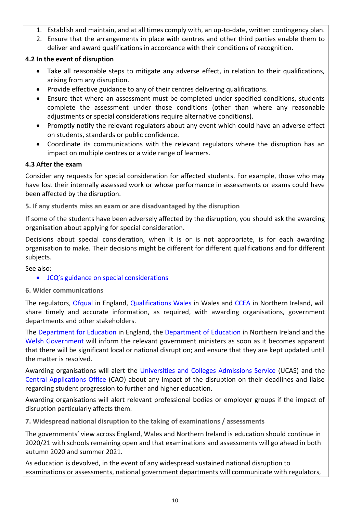- 1. Establish and maintain, and at all times comply with, an up-to-date, written contingency plan.
- 2. Ensure that the arrangements in place with centres and other third parties enable them to deliver and award qualifications in accordance with their conditions of recognition.

# **4.2 In the event of disruption**

- Take all reasonable steps to mitigate any adverse effect, in relation to their qualifications, arising from any disruption.
- Provide effective guidance to any of their centres delivering qualifications.
- Ensure that where an assessment must be completed under specified conditions, students complete the assessment under those conditions (other than where any reasonable adjustments or special considerations require alternative conditions).
- Promptly notify the relevant regulators about any event which could have an adverse effect on students, standards or public confidence.
- Coordinate its communications with the relevant regulators where the disruption has an impact on multiple centres or a wide range of learners.

# **4.3 After the exam**

Consider any requests for special consideration for affected students. For example, those who may have lost their internally assessed work or whose performance in assessments or exams could have been affected by the disruption.

**5. If any students miss an exam or are disadvantaged by the disruption**

If some of the students have been adversely affected by the disruption, you should ask the awarding organisation about applying for special consideration.

Decisions about special consideration, when it is or is not appropriate, is for each awarding organisation to make. Their decisions might be different for different qualifications and for different subjects.

See also:

• JCQ's guidance on special [considerations](https://www.jcq.org.uk/exams-office/access-arrangements-and-special-consideration/regulations-and-guidance)

**6. Wider communications**

The regulators, [Ofqual](https://www.gov.uk/ofqual) in England, [Qualifications](http://qualificationswales.org/) Wales in Wales and [CCEA](http://ccea.org.uk/) in Northern Ireland, will share timely and accurate information, as required, with awarding organisations, government departments and other stakeholders.

The [Department](https://www.gov.uk/government/organisations/department-for-education) for Education in England, the [Department](https://www.education-ni.gov.uk/) of Education in Northern Ireland and the Welsh [Government](http://gov.wales/topics/educationandskills/?lang=en) will inform the relevant government ministers as soon as it becomes apparent that there will be significant local or national disruption; and ensure that they are kept updated until the matter is resolved.

Awarding organisations will alert the [Universities](https://www.ucas.com/) and Colleges Admissions Service (UCAS) and the Central [Applications](http://www.cao.ie/) Office (CAO) about any impact of the disruption on their deadlines and liaise regarding student progression to further and higher education.

Awarding organisations will alert relevant professional bodies or employer groups if the impact of disruption particularly affects them.

**7. Widespread national disruption to the taking of examinations / assessments**

The governments' view across England, Wales and Northern Ireland is education should continue in 2020/21 with schools remaining open and that examinations and assessments will go ahead in both autumn 2020 and summer 2021.

As education is devolved, in the event of any widespread sustained national disruption to examinations or assessments, national government departments will communicate with regulators,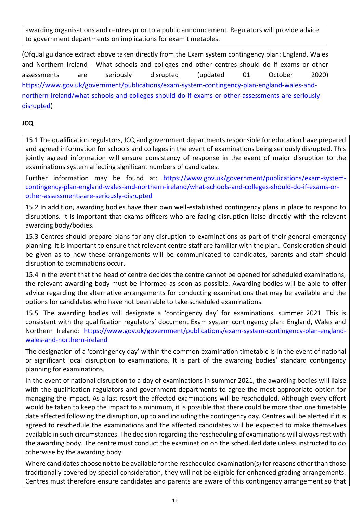awarding organisations and centres prior to a public announcement. Regulators will provide advice to government departments on implications for exam timetables.

(Ofqual guidance extract above taken directly from the Exam system contingency plan: England, Wales and Northern Ireland - What schools and colleges and other centres should do if exams or other assessments are seriously disrupted (updated 01 October 2020) [https://www.gov.uk/government/publications/exam-system-contingency-plan-england-wales-and](https://www.gov.uk/government/publications/exam-system-contingency-plan-england-wales-and-northern-ireland/what-schools-and-colleges-should-do-if-exams-or-other-assessments-are-seriously-disrupted)[northern-ireland/what-schools-and-colleges-should-do-if-exams-or-other-assessments-are-seriously](https://www.gov.uk/government/publications/exam-system-contingency-plan-england-wales-and-northern-ireland/what-schools-and-colleges-should-do-if-exams-or-other-assessments-are-seriously-disrupted)[disrupted\)](https://www.gov.uk/government/publications/exam-system-contingency-plan-england-wales-and-northern-ireland/what-schools-and-colleges-should-do-if-exams-or-other-assessments-are-seriously-disrupted)

# **JCQ**

15.1 The qualification regulators, JCQ and government departments responsible for education have prepared and agreed information for schools and colleges in the event of examinations being seriously disrupted. This jointly agreed information will ensure consistency of response in the event of major disruption to the examinations system affecting significant numbers of candidates.

Further information may be found at: [https://www.gov.uk/government/publications/exam-system](https://www.gov.uk/government/publications/exam-system-contingency-plan-england-wales-and-northern-ireland/what-schools-and-colleges-should-do-if-exams-or-other-assessments-are-seriously-disrupted)[contingency-plan-england-wales-and-northern-ireland/what-schools-and-colleges-should-do-if-exams-or](https://www.gov.uk/government/publications/exam-system-contingency-plan-england-wales-and-northern-ireland/what-schools-and-colleges-should-do-if-exams-or-other-assessments-are-seriously-disrupted)[other-assessments-are-seriously-disrupted](https://www.gov.uk/government/publications/exam-system-contingency-plan-england-wales-and-northern-ireland/what-schools-and-colleges-should-do-if-exams-or-other-assessments-are-seriously-disrupted)

15.2 In addition, awarding bodies have their own well-established contingency plans in place to respond to disruptions. It is important that exams officers who are facing disruption liaise directly with the relevant awarding body/bodies.

15.3 Centres should prepare plans for any disruption to examinations as part of their general emergency planning. It is important to ensure that relevant centre staff are familiar with the plan. Consideration should be given as to how these arrangements will be communicated to candidates, parents and staff should disruption to examinations occur.

15.4 In the event that the head of centre decides the centre cannot be opened for scheduled examinations, the relevant awarding body must be informed as soon as possible. Awarding bodies will be able to offer advice regarding the alternative arrangements for conducting examinations that may be available and the options for candidates who have not been able to take scheduled examinations.

15.5 The awarding bodies will designate a 'contingency day' for examinations, summer 2021. This is consistent with the qualification regulators' document Exam system contingency plan: England, Wales and Northern Ireland: [https://www.gov.uk/government/publications/exam-system-contingency-plan-england](https://www.gov.uk/government/publications/exam-system-contingency-plan-england-wales-and-northern-ireland)[wales-and-northern-ireland](https://www.gov.uk/government/publications/exam-system-contingency-plan-england-wales-and-northern-ireland)

The designation of a 'contingency day' within the common examination timetable is in the event of national or significant local disruption to examinations. It is part of the awarding bodies' standard contingency planning for examinations.

In the event of national disruption to a day of examinations in summer 2021, the awarding bodies will liaise with the qualification regulators and government departments to agree the most appropriate option for managing the impact. As a last resort the affected examinations will be rescheduled. Although every effort would be taken to keep the impact to a minimum, it is possible that there could be more than one timetable date affected following the disruption, up to and including the contingency day. Centres will be alerted if it is agreed to reschedule the examinations and the affected candidates will be expected to make themselves available in such circumstances. The decision regarding the rescheduling of examinations will always rest with the awarding body. The centre must conduct the examination on the scheduled date unless instructed to do otherwise by the awarding body.

Where candidates choose not to be available for the rescheduled examination(s) for reasons other than those traditionally covered by special consideration, they will not be eligible for enhanced grading arrangements. Centres must therefore ensure candidates and parents are aware of this contingency arrangement so that